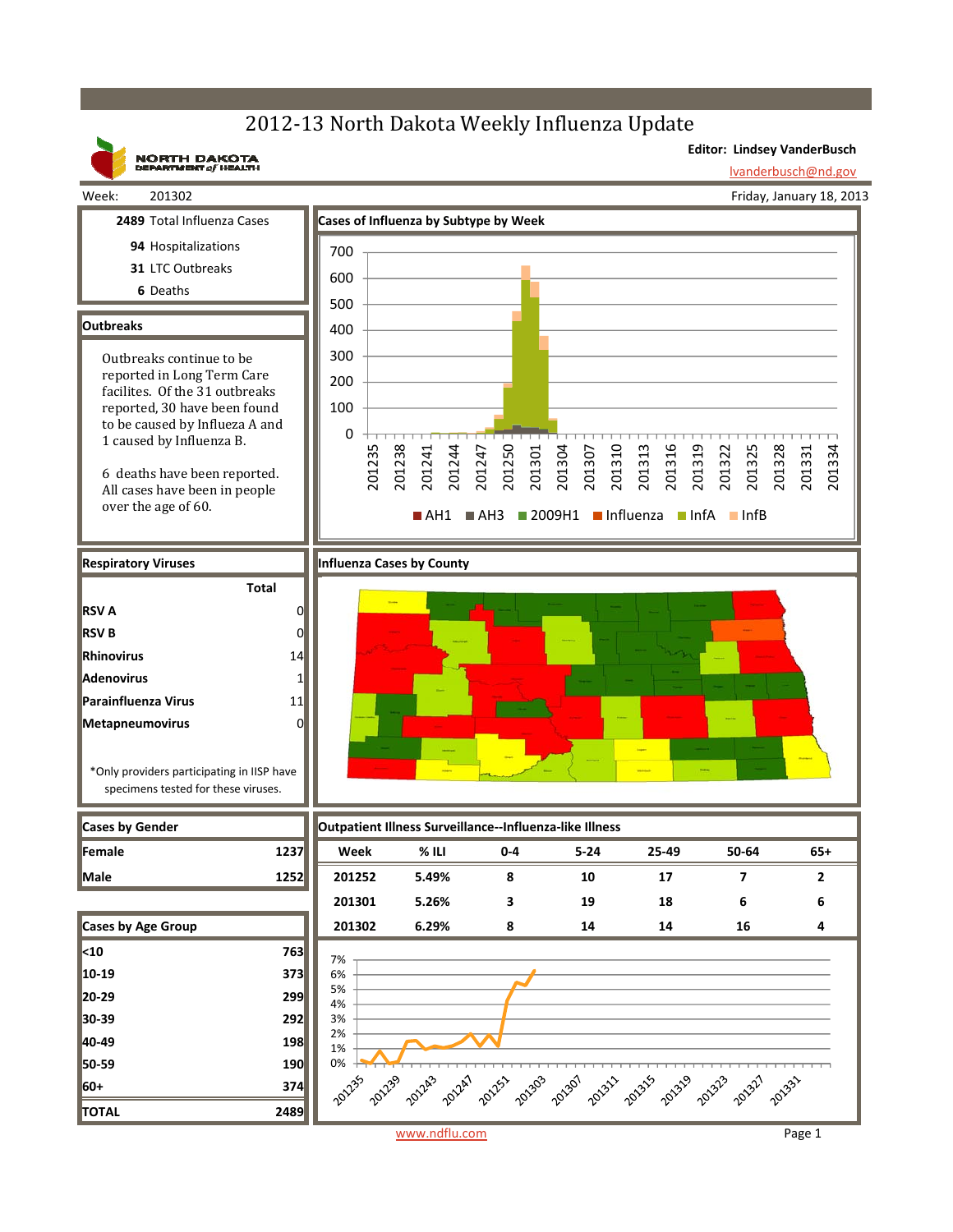## 2012-13 North Dakota Weekly Influenza Update



www.ndflu.com Page 1